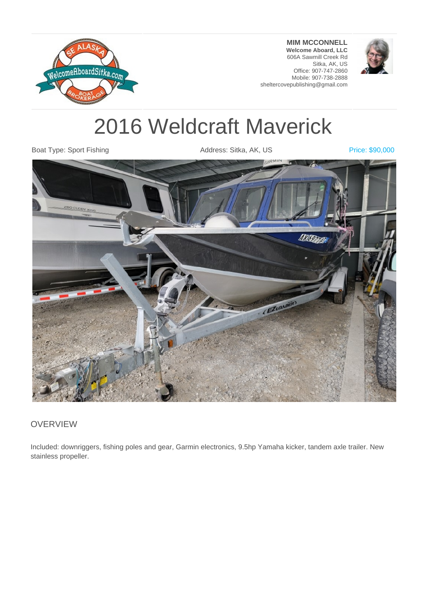

**MIM MCCONNELL Welcome Aboard, LLC** 606A Sawmill Creek Rd Sitka, AK, US Office: 907-747-2860 Mobile: 907-738-2888 sheltercovepublishing@gmail.com



# 2016 Weldcraft Maverick

Boat Type: Sport Fishing The Superintensis Address: Sitka, AK, US Price: \$90,000



#### **OVERVIEW**

Included: downriggers, fishing poles and gear, Garmin electronics, 9.5hp Yamaha kicker, tandem axle trailer. New stainless propeller.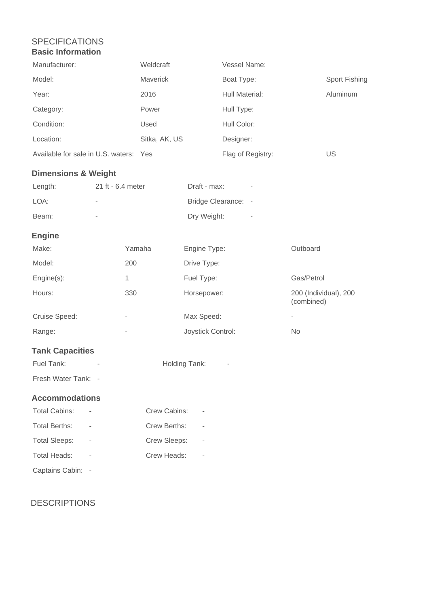### SPECIFICATIONS **Basic Information**

| Manufacturer:                          |                          | Weldcraft     |                   | Vessel Name:        |                                     |                      |
|----------------------------------------|--------------------------|---------------|-------------------|---------------------|-------------------------------------|----------------------|
| Model:                                 |                          | Maverick      |                   | Boat Type:          |                                     | <b>Sport Fishing</b> |
| Year:                                  |                          | 2016          |                   | Hull Material:      |                                     | Aluminum             |
| Category:                              |                          | Power         |                   | Hull Type:          |                                     |                      |
| Condition:                             |                          | Used          |                   | Hull Color:         |                                     |                      |
| Location:                              |                          | Sitka, AK, US |                   | Designer:           |                                     |                      |
| Available for sale in U.S. waters: Yes |                          |               |                   | Flag of Registry:   |                                     | US                   |
| <b>Dimensions &amp; Weight</b>         |                          |               |                   |                     |                                     |                      |
| Length:                                | 21 ft - 6.4 meter        |               | Draft - max:      |                     |                                     |                      |
| LOA:                                   |                          |               |                   | Bridge Clearance: - |                                     |                      |
| Beam:                                  | $\bar{ }$                |               | Dry Weight:       |                     |                                     |                      |
| <b>Engine</b>                          |                          |               |                   |                     |                                     |                      |
| Make:                                  | Yamaha                   |               | Engine Type:      |                     | Outboard                            |                      |
| Model:                                 | 200                      |               | Drive Type:       |                     |                                     |                      |
| Engine(s):                             | 1                        |               | Fuel Type:        |                     | Gas/Petrol                          |                      |
| Hours:                                 | 330                      |               | Horsepower:       |                     | 200 (Individual), 200<br>(combined) |                      |
| Cruise Speed:                          | $\overline{\phantom{0}}$ |               | Max Speed:        |                     | $\overline{\phantom{0}}$            |                      |
| Range:                                 | $\overline{a}$           |               | Joystick Control: |                     | No                                  |                      |
| <b>Tank Capacities</b>                 |                          |               |                   |                     |                                     |                      |
| Fuel Tank:<br>Holding Tank:            |                          |               |                   |                     |                                     |                      |
| Fresh Water Tank: -                    |                          |               |                   |                     |                                     |                      |
| <b>Accommodations</b>                  |                          |               |                   |                     |                                     |                      |
| <b>Total Cabins:</b>                   | Crew Cabins:             |               |                   |                     |                                     |                      |
| <b>Total Berths:</b>                   | Crew Berths:             |               |                   |                     |                                     |                      |
| <b>Total Sleeps:</b>                   | Crew Sleeps:             |               |                   |                     |                                     |                      |

Captains Cabin: -

Total Heads: - Crew Heads: -

## DESCRIPTIONS